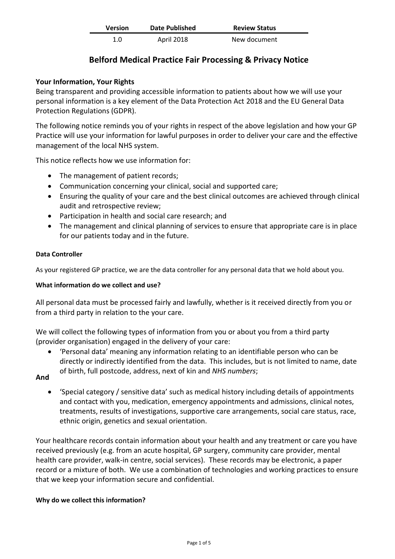| <b>Version</b> | <b>Date Published</b> | <b>Review Status</b> |
|----------------|-----------------------|----------------------|
| 1.0            | April 2018            | New document         |

# **Belford Medical Practice Fair Processing & Privacy Notice**

# **Your Information, Your Rights**

Being transparent and providing accessible information to patients about how we will use your personal information is a key element of the Data Protection Act 2018 and the EU General Data Protection Regulations (GDPR).

The following notice reminds you of your rights in respect of the above legislation and how your GP Practice will use your information for lawful purposes in order to deliver your care and the effective management of the local NHS system.

This notice reflects how we use information for:

- The management of patient records;
- Communication concerning your clinical, social and supported care;
- Ensuring the quality of your care and the best clinical outcomes are achieved through clinical audit and retrospective review;
- Participation in health and social care research; and
- The management and clinical planning of services to ensure that appropriate care is in place for our patients today and in the future.

# **Data Controller**

As your registered GP practice, we are the data controller for any personal data that we hold about you.

### **What information do we collect and use?**

All personal data must be processed fairly and lawfully, whether is it received directly from you or from a third party in relation to the your care.

We will collect the following types of information from you or about you from a third party (provider organisation) engaged in the delivery of your care:

• 'Personal data' meaning any information relating to an identifiable person who can be directly or indirectly identified from the data. This includes, but is not limited to name, date of birth, full postcode, address, next of kin and *NHS numbers*;

# **And**

• 'Special category / sensitive data' such as medical history including details of appointments and contact with you, medication, emergency appointments and admissions, clinical notes, treatments, results of investigations, supportive care arrangements, social care status, race, ethnic origin, genetics and sexual orientation.

Your healthcare records contain information about your health and any treatment or care you have received previously (e.g. from an acute hospital, GP surgery, community care provider, mental health care provider, walk-in centre, social services). These records may be electronic, a paper record or a mixture of both. We use a combination of technologies and working practices to ensure that we keep your information secure and confidential.

# **Why do we collect this information?**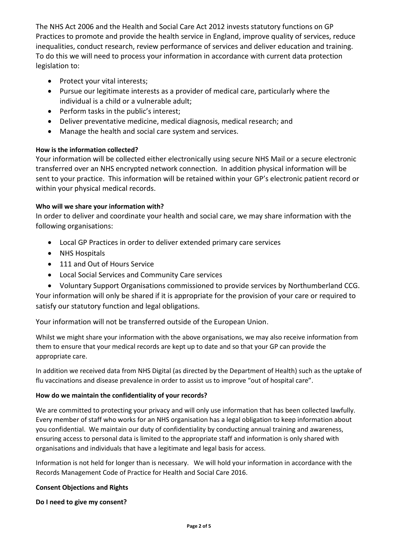The NHS Act 2006 and the Health and Social Care Act 2012 invests statutory functions on GP Practices to promote and provide the health service in England, improve quality of services, reduce inequalities, conduct research, review performance of services and deliver education and training. To do this we will need to process your information in accordance with current data protection legislation to:

- Protect your vital interests;
- Pursue our legitimate interests as a provider of medical care, particularly where the individual is a child or a vulnerable adult;
- Perform tasks in the public's interest;
- Deliver preventative medicine, medical diagnosis, medical research; and
- Manage the health and social care system and services.

## **How is the information collected?**

Your information will be collected either electronically using secure NHS Mail or a secure electronic transferred over an NHS encrypted network connection. In addition physical information will be sent to your practice. This information will be retained within your GP's electronic patient record or within your physical medical records.

## **Who will we share your information with?**

In order to deliver and coordinate your health and social care, we may share information with the following organisations:

- Local GP Practices in order to deliver extended primary care services
- NHS Hospitals
- 111 and Out of Hours Service
- Local Social Services and Community Care services
- Voluntary Support Organisations commissioned to provide services by Northumberland CCG.

Your information will only be shared if it is appropriate for the provision of your care or required to satisfy our statutory function and legal obligations.

Your information will not be transferred outside of the European Union.

Whilst we might share your information with the above organisations, we may also receive information from them to ensure that your medical records are kept up to date and so that your GP can provide the appropriate care.

In addition we received data from NHS Digital (as directed by the Department of Health) such as the uptake of flu vaccinations and disease prevalence in order to assist us to improve "out of hospital care".

### **How do we maintain the confidentiality of your records?**

We are committed to protecting your privacy and will only use information that has been collected lawfully. Every member of staff who works for an NHS organisation has a legal obligation to keep information about you confidential. We maintain our duty of confidentiality by conducting annual training and awareness, ensuring access to personal data is limited to the appropriate staff and information is only shared with organisations and individuals that have a legitimate and legal basis for access.

Information is not held for longer than is necessary. We will hold your information in accordance with the Records Management Code of Practice for Health and Social Care 2016.

### **Consent Objections and Rights**

### **Do I need to give my consent?**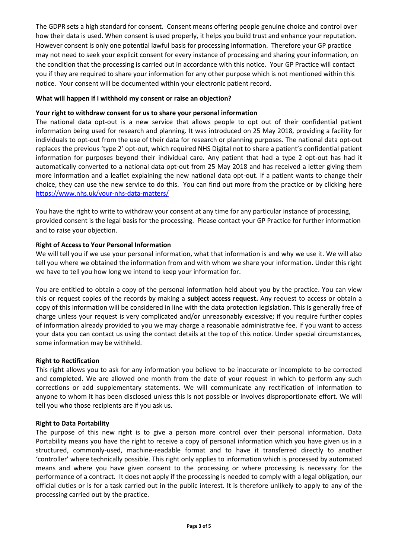The GDPR sets a high standard for consent. Consent means offering people genuine choice and control over how their data is used. When consent is used properly, it helps you build trust and enhance your reputation. However consent is only one potential lawful basis for processing information. Therefore your GP practice may not need to seek your explicit consent for every instance of processing and sharing your information, on the condition that the processing is carried out in accordance with this notice. Your GP Practice will contact you if they are required to share your information for any other purpose which is not mentioned within this notice. Your consent will be documented within your electronic patient record.

#### **What will happen if I withhold my consent or raise an objection?**

#### **Your right to withdraw consent for us to share your personal information**

The national data opt-out is a new service that allows people to opt out of their confidential patient information being used for research and planning. It was introduced on 25 May 2018, providing a facility for individuals to opt-out from the use of their data for research or planning purposes. The national data opt-out replaces the previous 'type 2' opt-out, which required NHS Digital not to share a patient's confidential patient information for purposes beyond their individual care. Any patient that had a type 2 opt-out has had it automatically converted to a national data opt-out from 25 May 2018 and has received a letter giving them more information and a leaflet explaining the new national data opt-out. If a patient wants to change their choice, they can use the new service to do this. You can find out more from the practice or by clicking here <https://www.nhs.uk/your-nhs-data-matters/>

You have the right to write to withdraw your consent at any time for any particular instance of processing, provided consent is the legal basis for the processing. Please contact your GP Practice for further information and to raise your objection.

#### **Right of Access to Your Personal Information**

We will tell you if we use your personal information, what that information is and why we use it. We will also tell you where we obtained the information from and with whom we share your information. Under this right we have to tell you how long we intend to keep your information for.

You are entitled to obtain a copy of the personal information held about you by the practice. You can view this or request copies of the records by making a **[subject access request.](https://ico.org.uk/for-the-public/personal-information/)** Any request to access or obtain a copy of this information will be considered in line with the data protection legislation. This is generally free of charge unless your request is very complicated and/or unreasonably excessive; if you require further copies of information already provided to you we may charge a reasonable administrative fee. If you want to access your data you can contact us using the contact details at the top of this notice. Under special circumstances, some information may be withheld.

#### **Right to Rectification**

This right allows you to ask for any information you believe to be inaccurate or incomplete to be corrected and completed. We are allowed one month from the date of your request in which to perform any such corrections or add supplementary statements. We will communicate any rectification of information to anyone to whom it has been disclosed unless this is not possible or involves disproportionate effort. We will tell you who those recipients are if you ask us.

#### **Right to Data Portability**

The purpose of this new right is to give a person more control over their personal information. Data Portability means you have the right to receive a copy of personal information which you have given us in a structured, commonly-used, machine-readable format and to have it transferred directly to another 'controller' where technically possible. This right only applies to information which is processed by automated means and where you have given consent to the processing or where processing is necessary for the performance of a contract. It does not apply if the processing is needed to comply with a legal obligation, our official duties or is for a task carried out in the public interest. It is therefore unlikely to apply to any of the processing carried out by the practice.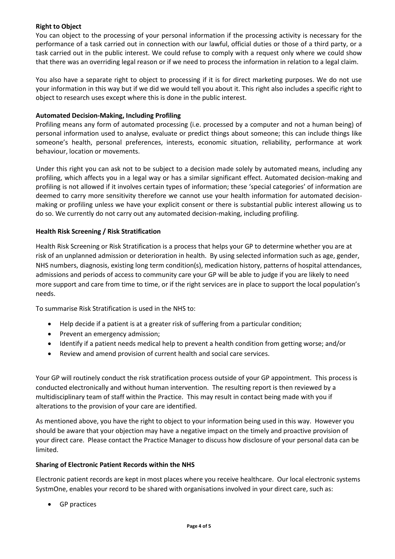### **Right to Object**

You can object to the processing of your personal information if the processing activity is necessary for the performance of a task carried out in connection with our lawful, official duties or those of a third party, or a task carried out in the public interest. We could refuse to comply with a request only where we could show that there was an overriding legal reason or if we need to process the information in relation to a legal claim.

You also have a separate right to object to processing if it is for direct marketing purposes. We do not use your information in this way but if we did we would tell you about it. This right also includes a specific right to object to research uses except where this is done in the public interest.

#### **Automated Decision-Making, Including Profiling**

Profiling means any form of automated processing (i.e. processed by a computer and not a human being) of personal information used to analyse, evaluate or predict things about someone; this can include things like someone's health, personal preferences, interests, economic situation, reliability, performance at work behaviour, location or movements.

Under this right you can ask not to be subject to a decision made solely by automated means, including any profiling, which affects you in a legal way or has a similar significant effect. Automated decision-making and profiling is not allowed if it involves certain types of information; these 'special categories' of information are deemed to carry more sensitivity therefore we cannot use your health information for automated decisionmaking or profiling unless we have your explicit consent or there is substantial public interest allowing us to do so. We currently do not carry out any automated decision-making, including profiling.

#### **Health Risk Screening / Risk Stratification**

Health Risk Screening or Risk Stratification is a process that helps your GP to determine whether you are at risk of an unplanned admission or deterioration in health. By using selected information such as age, gender, NHS numbers, diagnosis, existing long term condition(s), medication history, patterns of hospital attendances, admissions and periods of access to community care your GP will be able to judge if you are likely to need more support and care from time to time, or if the right services are in place to support the local population's needs.

To summarise Risk Stratification is used in the NHS to:

- Help decide if a patient is at a greater risk of suffering from a particular condition;
- Prevent an emergency admission;
- Identify if a patient needs medical help to prevent a health condition from getting worse; and/or
- Review and amend provision of current health and social care services.

Your GP will routinely conduct the risk stratification process outside of your GP appointment. This process is conducted electronically and without human intervention. The resulting report is then reviewed by a multidisciplinary team of staff within the Practice. This may result in contact being made with you if alterations to the provision of your care are identified.

As mentioned above, you have the right to object to your information being used in this way. However you should be aware that your objection may have a negative impact on the timely and proactive provision of your direct care. Please contact the Practice Manager to discuss how disclosure of your personal data can be limited.

#### **Sharing of Electronic Patient Records within the NHS**

Electronic patient records are kept in most places where you receive healthcare. Our local electronic systems SystmOne, enables your record to be shared with organisations involved in your direct care, such as:

• GP practices